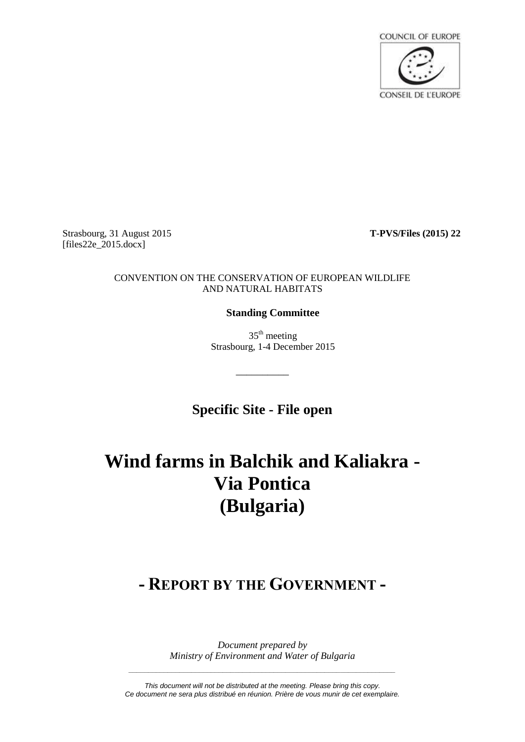

Strasbourg, 31 August 2015 **T-PVS/Files (2015) 22**  $[files22e_2015.docx]$ 

## CONVENTION ON THE CONSERVATION OF EUROPEAN WILDLIFE AND NATURAL HABITATS

## **Standing Committee**

 $35<sup>th</sup>$  meeting Strasbourg, 1-4 December 2015

**Specific Site - File open**

\_\_\_\_\_\_\_\_\_\_

# **Wind farms in Balchik and Kaliakra - Via Pontica (Bulgaria)**

## **- REPORT BY THE GOVERNMENT -**

*Document prepared by Ministry of Environment and Water of Bulgaria*

*This document will not be distributed at the meeting. Please bring this copy. Ce document ne sera plus distribué en réunion. Prière de vous munir de cet exemplaire.*

*\_\_\_\_\_\_\_\_\_\_\_\_\_\_\_\_\_\_\_\_\_\_\_\_\_\_\_\_\_\_\_\_\_\_\_\_\_\_\_\_\_\_\_\_\_\_\_\_\_\_\_\_\_\_\_\_\_\_\_\_\_\_\_\_\_\_\_\_*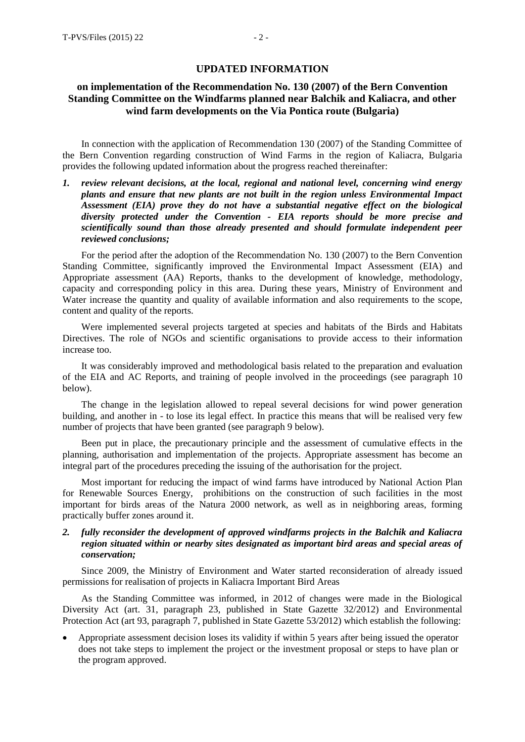#### **UPDATED INFORMATION**

## **on implementation of the Recommendation No. 130 (2007) of the Bern Convention Standing Committee on the Windfarms planned near Balchik and Kaliacra, and other wind farm developments on the Via Pontica route (Bulgaria)**

In connection with the application of Recommendation 130 (2007) of the Standing Committee of the Bern Convention regarding construction of Wind Farms in the region of Kaliacra, Bulgaria provides the following updated information about the progress reached thereinafter:

*1. review relevant decisions, at the local, regional and national level, concerning wind energy plants and ensure that new plants are not built in the region unless Environmental Impact Assessment (EIA) prove they do not have a substantial negative effect on the biological diversity protected under the Convention - EIA reports should be more precise and scientifically sound than those already presented and should formulate independent peer reviewed conclusions;*

For the period after the adoption of the Recommendation No. 130 (2007) to the Bern Convention Standing Committee, significantly improved the Environmental Impact Assessment (EIA) and Appropriate assessment (AA) Reports, thanks to the development of knowledge, methodology, capacity and corresponding policy in this area. During these years, Ministry of Environment and Water increase the quantity and quality of available information and also requirements to the scope, content and quality of the reports.

Were implemented several projects targeted at species and habitats of the Birds and Habitats Directives. The role of NGOs and scientific organisations to provide access to their information increase too.

It was considerably improved and methodological basis related to the preparation and evaluation of the EIA and AC Reports, and training of people involved in the proceedings (see paragraph 10 below).

The change in the legislation allowed to repeal several decisions for wind power generation building, and another in - to lose its legal effect. In practice this means that will be realised very few number of projects that have been granted (see paragraph 9 below).

Been put in place, the precautionary principle and the assessment of cumulative effects in the planning, authorisation and implementation of the projects. Appropriate assessment has become an integral part of the procedures preceding the issuing of the authorisation for the project.

Most important for reducing the impact of wind farms have introduced by National Action Plan for Renewable Sources Energy, prohibitions on the construction of such facilities in the most important for birds areas of the Natura 2000 network, as well as in neighboring areas, forming practically buffer zones around it.

## *2. fully reconsider the development of approved windfarms projects in the Balchik and Kaliacra region situated within or nearby sites designated as important bird areas and special areas of conservation;*

Since 2009, the Ministry of Environment and Water started reconsideration of already issued permissions for realisation of projects in Kaliacra Important Bird Areas

As the Standing Committee was informed, in 2012 of changes were made in the Biological Diversity Act (art. 31, paragraph 23, published in State Gazette 32/2012) and Environmental Protection Act (art 93, paragraph 7, published in State Gazette 53/2012) which establish the following:

 Appropriate assessment decision loses its validity if within 5 years after being issued the operator does not take steps to implement the project or the investment proposal or steps to have plan or the program approved.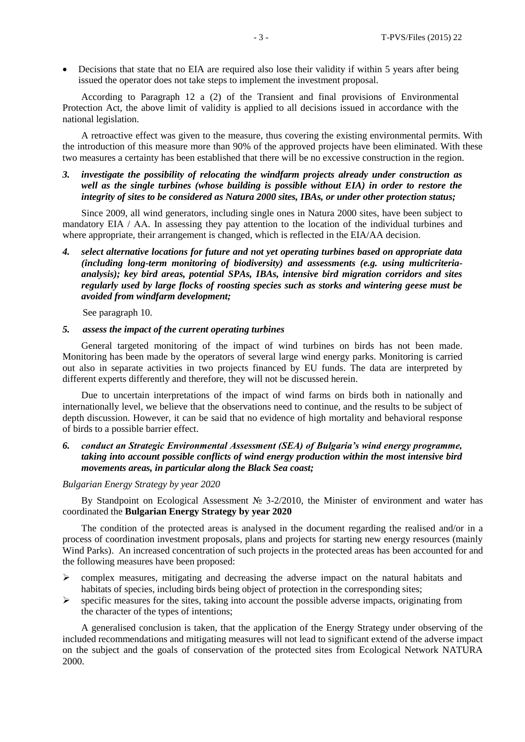Decisions that state that no EIA are required also lose their validity if within 5 years after being issued the operator does not take steps to implement the investment proposal.

According to Paragraph 12 a (2) of the Transient and final provisions of Environmental Protection Act, the above limit of validity is applied to all decisions issued in accordance with the national legislation.

A retroactive effect was given to the measure, thus covering the existing environmental permits. With the introduction of this measure more than 90% of the approved projects have been eliminated. With these two measures a certainty has been established that there will be no excessive construction in the region.

*3. investigate the possibility of relocating the windfarm projects already under construction as well as the single turbines (whose building is possible without EIA) in order to restore the integrity of sites to be considered as Natura 2000 sites, IBAs, or under other protection status;*

Since 2009, all wind generators, including single ones in Natura 2000 sites, have been subject to mandatory EIA / АА. In assessing they pay attention to the location of the individual turbines and where appropriate, their arrangement is changed, which is reflected in the EIA/AA decision.

*4. select alternative locations for future and not yet operating turbines based on appropriate data (including long-term monitoring of biodiversity) and assessments (e.g. using multicriteriaanalysis); key bird areas, potential SPAs, IBAs, intensive bird migration corridors and sites regularly used by large flocks of roosting species such as storks and wintering geese must be avoided from windfarm development;*

See paragraph 10.

#### *5. assess the impact of the current operating turbines*

General targeted monitoring of the impact of wind turbines on birds has not been made. Monitoring has been made by the operators of several large wind energy parks. Monitoring is carried out also in separate activities in two projects financed by EU funds. The data are interpreted by different experts differently and therefore, they will not be discussed herein.

Due to uncertain interpretations of the impact of wind farms on birds both in nationally and internationally level, we believe that the observations need to continue, and the results to be subject of depth discussion. However, it can be said that no evidence of high mortality and behavioral response of birds to a possible barrier effect.

## *6. conduct an Strategic Environmental Assessment (SEA) of Bulgaria's wind energy programme, taking into account possible conflicts of wind energy production within the most intensive bird movements areas, in particular along the Black Sea coast;*

#### *Bulgarian Energy Strategy by year 2020*

By Standpoint on Ecological Assessment № 3-2/2010, the Minister of environment and water has coordinated the **Bulgarian Energy Strategy by year 2020**

The condition of the protected areas is analysed in the document regarding the realised and/or in a process of coordination investment proposals, plans and projects for starting new energy resources (mainly Wind Parks). An increased concentration of such projects in the protected areas has been accounted for and the following measures have been proposed:

- $\triangleright$  complex measures, mitigating and decreasing the adverse impact on the natural habitats and habitats of species, including birds being object of protection in the corresponding sites;
- $\triangleright$  specific measures for the sites, taking into account the possible adverse impacts, originating from the character of the types of intentions;

A generalised conclusion is taken, that the application of the Energy Strategy under observing of the included recommendations and mitigating measures will not lead to significant extend of the adverse impact on the subject and the goals of conservation of the protected sites from Ecological Network NATURA 2000.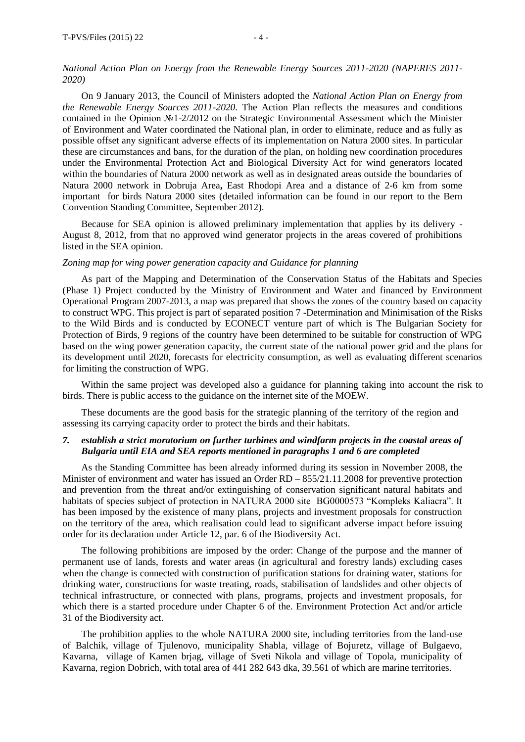#### *National Action Plan on Energy from the Renewable Energy Sources 2011-2020 (NAPERES 2011- 2020)*

On 9 January 2013, the Council of Ministers adopted the *National Action Plan on Energy from the Renewable Energy Sources 2011-2020.* The Action Plan reflects the measures and conditions contained in the Opinion №1-2/2012 on the Strategic Environmental Assessment which the Minister of Environment and Water coordinated the National plan, in order to eliminate, reduce and as fully as possible offset any significant adverse effects of its implementation on Natura 2000 sites. In particular these are circumstances and bans, for the duration of the plan, on holding new coordination procedures under the Environmental Protection Act and Biological Diversity Act for wind generators located within the boundaries of Natura 2000 network as well as in designated areas outside the boundaries of Natura 2000 network in Dobruja Area**,** East Rhodopi Area and а distance of 2-6 km from some important for birds Natura 2000 sites (detailed information can be found in our report to the Bern Convention Standing Committee, September 2012).

Because for SEA opinion is allowed preliminary implementation that applies by its delivery - August 8, 2012, from that no approved wind generator projects in the areas covered of prohibitions listed in the SEA opinion.

#### *Zoning map for wing power generation capacity and Guidance for planning*

As part of the Mapping and Determination of the Conservation Status of the Habitats and Species (Phase 1) Project conducted by the Ministry of Environment and Water and financed by Environment Operational Program 2007-2013, a map was prepared that shows the zones of the country based on capacity to construct WPG. This project is part of separated position 7 -Determination and Minimisation of the Risks to the Wild Birds and is conducted by ECONECT venture part of which is The Bulgarian Society for Protection of Birds, 9 regions of the country have been determined to be suitable for construction of WPG based on the wing power generation capacity, the current state of the national power grid and the plans for its development until 2020, forecasts for electricity consumption, as well as evaluating different scenarios for limiting the construction of WPG.

Within the same project was developed also a guidance for planning taking into account the risk to birds. There is public access to the guidance on the internet site of the MОEW.

These documents are the good basis for the strategic planning of the territory of the region and assessing its carrying capacity order to protect the birds and their habitats.

## *7. establish a strict moratorium on further turbines and windfarm projects in the coastal areas of Bulgaria until EIA and SEA reports mentioned in paragraphs 1 and 6 are completed*

As the Standing Committee has been already informed during its session in November 2008, the Minister of environment and water has issued an Order RD – 855/21.11.2008 for preventive protection and prevention from the threat and/or extinguishing of conservation significant natural habitats and habitats of species subject of protection in NATURA 2000 site BG0000573 "Kompleks Kaliacra". It has been imposed by the existence of many plans, projects and investment proposals for construction on the territory of the area, which realisation could lead to significant adverse impact before issuing order for its declaration under Article 12, par. 6 of the Biodiversity Act.

The following prohibitions are imposed by the order: Change of the purpose and the manner of permanent use of lands, forests and water areas (in agricultural and forestry lands) excluding cases when the change is connected with construction of purification stations for draining water, stations for drinking water, constructions for waste treating, roads, stabilisation of landslides and other objects of technical infrastructure, or connected with plans, programs, projects and investment proposals, for which there is a started procedure under Chapter 6 of the. Environment Protection Act and/or article 31 of the Biodiversity act.

The prohibition applies to the whole NATURA 2000 site, including territories from the land-use of Balchik, village of Tjulenovo, municipality Shabla, village of Bojuretz, village of Bulgaevo, Kavarna, village of Kamen brjag, village of Sveti Nikola and village of Topola, municipality of Kavarna, region Dobrich, with total area of 441 282 643 dka, 39.561 of which are marine territories.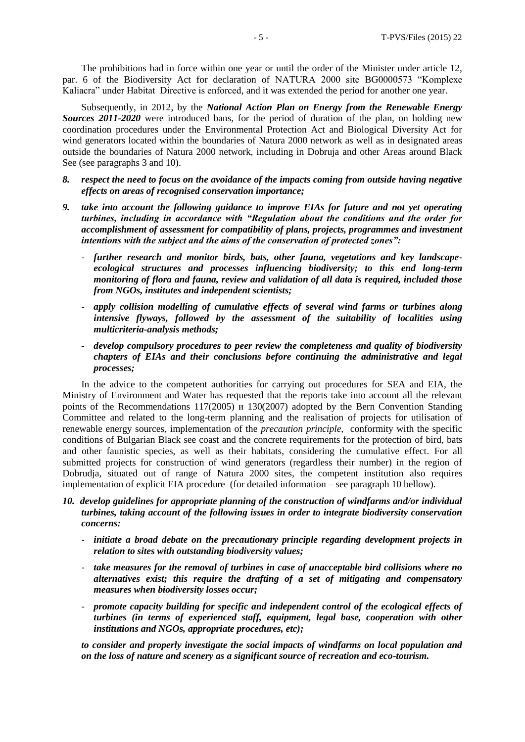The prohibitions had in force within one year or until the order of the Minister under article 12, par. 6 of the Biodiversity Act for declaration of NATURA 2000 site BG0000573 "Komplexe Kaliacra" under Habitat Directive is enforced, and it was extended the period for another one year.

Subsequently, in 2012, by the *National Action Plan on Energy from the Renewable Energy Sources 2011-2020* were introduced bans, for the period of duration of the plan, on holding new coordination procedures under the Environmental Protection Act and Biological Diversity Act for wind generators located within the boundaries of Natura 2000 network as well as in designated areas outside the boundaries of Natura 2000 network, including in Dobruja and other Areas around Black See (see paragraphs 3 and 10).

- *8. respect the need to focus on the avoidance of the impacts coming from outside having negative effects on areas of recognised conservation importance;*
- *9. take into account the following guidance to improve EIAs for future and not yet operating turbines, including in accordance with "Regulation about the conditions and the order for accomplishment of assessment for compatibility of plans, projects, programmes and investment intentions with the subject and the aims of the conservation of protected zones":*
	- *further research and monitor birds, bats, other fauna, vegetations and key landscapeecological structures and processes influencing biodiversity; to this end long-term monitoring of flora and fauna, review and validation of all data is required, included those from NGOs, institutes and independent scientists;*
	- *apply collision modelling of cumulative effects of several wind farms or turbines along intensive flyways, followed by the assessment of the suitability of localities using multicriteria-analysis methods;*
	- *- develop compulsory procedures to peer review the completeness and quality of biodiversity chapters of EIAs and their conclusions before continuing the administrative and legal processes;*

In the advice to the competent authorities for carrying out procedures for SEA and EIA, the Ministry of Environment and Water has requested that the reports take into account all the relevant points of the Recommendations 117(2005) и 130(2007) adopted by the Bern Convention Standing Committee and related to the long-term planning and the realisation of projects for utilisation of renewable energy sources, implementation of the *precaution principle,* conformity with the specific conditions of Bulgarian Black see coast and the concrete requirements for the protection of bird, bats and other faunistic species, as well as their habitats, considering the cumulative effect. For all submitted projects for construction of wind generators (regardless their number) in the region of Dobrudja, situated out of range of Natura 2000 sites, the competent institution also requires implementation of explicit EIA procedure (for detailed information – see paragraph 10 bellow).

- *10. develop guidelines for appropriate planning of the construction of windfarms and/or individual turbines, taking account of the following issues in order to integrate biodiversity conservation concerns:*
	- *initiate a broad debate on the precautionary principle regarding development projects in relation to sites with outstanding biodiversity values;*
	- *take measures for the removal of turbines in case of unacceptable bird collisions where no alternatives exist; this require the drafting of a set of mitigating and compensatory measures when biodiversity losses occur;*
	- *promote capacity building for specific and independent control of the ecological effects of turbines (in terms of experienced staff, equipment, legal base, cooperation with other institutions and NGOs, appropriate procedures, etc);*

*to consider and properly investigate the social impacts of windfarms on local population and on the loss of nature and scenery as a significant source of recreation and eco-tourism.*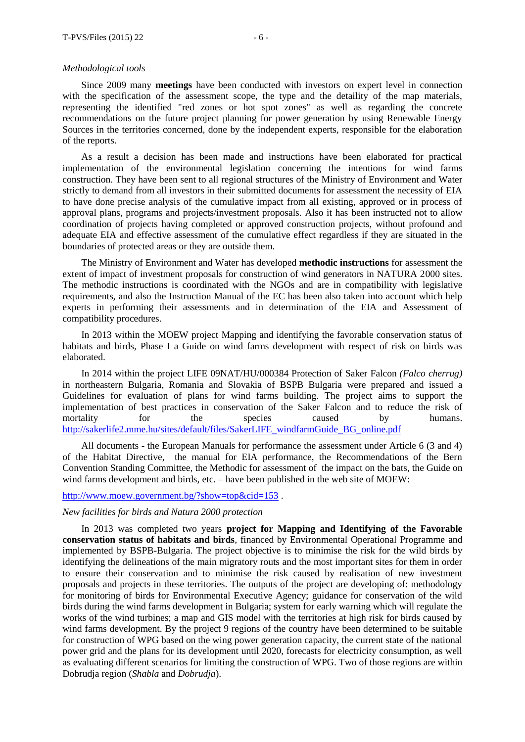#### *Methodological tools*

Since 2009 many **meetings** have been conducted with investors on expert level in connection with the specification of the assessment scope, the type and the detaility of the map materials, representing the identified "red zones or hot spot zones" as well as regarding the concrete recommendations on the future project planning for power generation by using Renewable Energy Sources in the territories concerned, done by the independent experts, responsible for the elaboration of the reports.

As a result a decision has been made and instructions have been elaborated for practical implementation of the environmental legislation concerning the intentions for wind farms construction. They have been sent to all regional structures of the Ministry of Environment and Water strictly to demand from all investors in their submitted documents for assessment the necessity of EIA to have done precise analysis of the cumulative impact from all existing, approved or in process of approval plans, programs and projects/investment proposals. Also it has been instructed not to allow coordination of projects having completed or approved construction projects, without profound and adequate EIA and effective assessment of the cumulative effect regardless if they are situated in the boundaries of protected areas or they are outside them.

The Ministry of Environment and Water has developed **methodic instructions** for assessment the extent of impact of investment proposals for construction of wind generators in NATURA 2000 sites. The methodic instructions is coordinated with the NGOs and are in compatibility with legislative requirements, and also the Instruction Manual of the EC has been also taken into account which help experts in performing their assessments and in determination of the EIA and Assessment of compatibility procedures.

In 2013 within the MOEW project Mapping and identifying the favorable conservation status of habitats and birds, Phase I a Guide on wind farms development with respect of risk on birds was elaborated.

In 2014 within the project LIFE 09NAT/HU/000384 Protection of Saker Falcon *(Falco cherrug)* in northeastern Bulgaria, Romania and Slovakia of BSPB Bulgaria were prepared and issued a Guidelines for evaluation of plans for wind farms building. The project aims to support the implementation of best practices in conservation of the Saker Falcon and to reduce the risk of mortality for the species caused by humans. [http://sakerlife2.mme.hu/sites/default/files/SakerLIFE\\_windfarmGuide\\_BG\\_online.pdf](http://sakerlife2.mme.hu/sites/default/files/SakerLIFE_windfarmGuide_BG_online.pdf)

All documents - the European Manuals for performance the assessment under Article 6 (3 and 4) of the Habitat Directive, the manual for EIA performance, the Recommendations of the Bern Convention Standing Committee, the Methodic for assessment of the impact on the bats, the Guide on wind farms development and birds, etc. – have been published in the web site of MOEW:

## <http://www.moew.government.bg/?show=top&cid=153> .

#### *New facilities for birds and Natura 2000 protection*

In 2013 was completed two years **project for Mapping and Identifying of the Favorable conservation status of habitats and birds**, financed by Environmental Operational Programme and implemented by BSPB-Bulgaria. The project objective is to minimise the risk for the wild birds by identifying the delineations of the main migratory routs and the most important sites for them in order to ensure their conservation and to minimise the risk caused by realisation of new investment proposals and projects in these territories. The outputs of the project are developing of: methodology for monitoring of birds for Environmental Executive Agency; guidance for conservation of the wild birds during the wind farms development in Bulgaria; system for early warning which will regulate the works of the wind turbines; a map and GIS model with the territories at high risk for birds caused by wind farms development. By the project 9 regions of the country have been determined to be suitable for construction of WPG based on the wing power generation capacity, the current state of the national power grid and the plans for its development until 2020, forecasts for electricity consumption, as well as evaluating different scenarios for limiting the construction of WPG. Two of those regions are within Dobrudja region (*Shabla* and *Dobrudja*).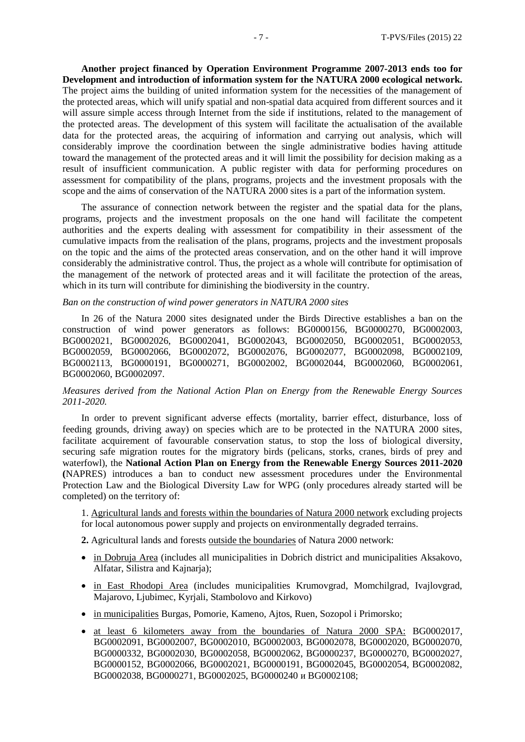**Another project financed by Operation Environment Programme 2007-2013 ends too for Development and introduction of information system for the NATURA 2000 ecological network.**  The project aims the building of united information system for the necessities of the management of the protected areas, which will unify spatial and non-spatial data acquired from different sources and it will assure simple access through Internet from the side if institutions, related to the management of the protected areas. The development of this system will facilitate the actualisation of the available data for the protected areas, the acquiring of information and carrying out analysis, which will considerably improve the coordination between the single administrative bodies having attitude toward the management of the protected areas and it will limit the possibility for decision making as a result of insufficient communication. A public register with data for performing procedures on assessment for compatibility of the plans, programs, projects and the investment proposals with the scope and the aims of conservation of the NATURA 2000 sites is a part of the information system.

The assurance of connection network between the register and the spatial data for the plans, programs, projects and the investment proposals on the one hand will facilitate the competent authorities and the experts dealing with assessment for compatibility in their assessment of the cumulative impacts from the realisation of the plans, programs, projects and the investment proposals on the topic and the aims of the protected areas conservation, and on the other hand it will improve considerably the administrative control. Thus, the project as a whole will contribute for optimisation of the management of the network of protected areas and it will facilitate the protection of the areas, which in its turn will contribute for diminishing the biodiversity in the country.

#### *Ban on the construction of wind power generators in NATURA 2000 sites*

In 26 of the Natura 2000 sites designated under the Birds Directive establishes a ban on the construction of wind power generators as follows: BG0000156, BG0000270, BG0002003, BG0002021, BG0002026, BG0002041, BG0002043, BG0002050, BG0002051, BG0002053, BG0002059, BG0002066, BG0002072, BG0002076, BG0002077, BG0002098, BG0002109, BG0002113, BG0000191, BG0000271, BG0002002, BG0002044, BG0002060, BG0002061, BG0002060, BG0002097.

## *Мeasures derived from the National Action Plan on Energy from the Renewable Energy Sources 2011-2020.*

In order to prevent significant adverse effects (mortality, barrier effect, disturbance, loss of feeding grounds, driving away) on species which are to be protected in the NATURA 2000 sites, facilitate acquirement of favourable conservation status, to stop the loss of biological diversity, securing safe migration routes for the migratory birds (pelicans, storks, cranes, birds of prey and waterfowl), the **National Action Plan on Energy from the Renewable Energy Sources 2011-2020 (**NAPRES) introduces a ban to conduct new assessment procedures under the Environmental Protection Law and the Biological Diversity Law for WPG (only procedures already started will be completed) on the territory of:

1. Agricultural lands and forests within the boundaries of Natura 2000 network excluding projects for local autonomous power supply and projects on environmentally degraded terrains.

**2.** Agricultural lands and forests outside the boundaries of Natura 2000 network:

- in Dobruja Area (includes all municipalities in Dobrich district and municipalities Aksakovo, Alfatar, Silistra and Kainaria);
- in East Rhodopi Area (includes municipalities Krumovgrad, Momchilgrad, Ivajlovgrad, Majarovo, Ljubimec, Kyrjali, Stambolovo and Kirkovo)
- in municipalities Burgas, Pomorie, Kameno, Ajtos, Ruen, Sozopol i Primorsko;
- at least 6 kilometers away from the boundaries of Natura 2000 SPA: BG0002017, BG0002091, BG0002007, BG0002010, BG0002003, BG0002078, BG0002020, BG0002070, BG0000332, BG0002030, BG0002058, BG0002062, BG0000237, BG0000270, BG0002027, BG0000152, BG0002066, BG0002021, BG0000191, BG0002045, BG0002054, BG0002082, BG0002038, BG0000271, BG0002025, BG0000240 и BG0002108;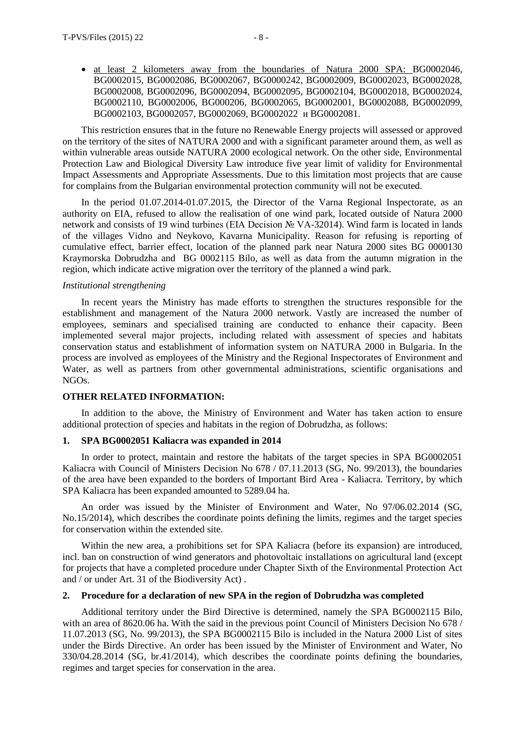at least 2 kilometers away from the boundaries of Natura 2000 SPA: BG0002046, BG0002015, BG0002086, BG0002067, BG0000242, BG0002009, BG0002023, BG0002028, BG0002008, BG0002096, BG0002094, BG0002095, BG0002104, BG0002018, BG0002024, BG0002110, BG0002006, BG000206, BG0002065, BG0002001, BG0002088, BG0002099, BG0002103, BG0002057, BG0002069, BG0002022 и BG0002081.

This restriction ensures that in the future no Renewable Energy projects will assessed or approved on the territory of the sites of NATURA 2000 and with a significant parameter around them, as well as within vulnerable areas outside NATURA 2000 ecological network. On the other side, Environmental Protection Law and Biological Diversity Law introduce five year limit of validity for Environmental Impact Assessments and Appropriate Assessments. Due to this limitation most projects that are cause for complains from the Bulgarian environmental protection community will not be executed.

In the period 01.07.2014-01.07.2015, the Director of the Varna Regional Inspectorate, as an authority on EIA, refused to allow the realisation of one wind park, located outside of Natura 2000 network and consists of 19 wind turbines (EIA Decision № VA-32014). Wind farm is located in lands of the villages Vidno and Neykovo, Kavarna Municipality. Reason for refusing is reporting of cumulative effect, barrier effect, location of the planned park near Natura 2000 sites BG 0000130 Kraymorska Dobrudzha and BG 0002115 Bilo, as well as data from the autumn migration in the region, which indicate active migration over the territory of the planned a wind park.

## *Institutional strengthening*

In recent years the Ministry has made efforts to strengthen the structures responsible for the establishment and management of the Natura 2000 network. Vastly are increased the number of employees, seminars and specialised training are conducted to enhance their capacity. Been implemented several major projects, including related with assessment of species and habitats conservation status and establishment of information system on NATURA 2000 in Bulgaria. In the process are involved as employees of the Ministry and the Regional Inspectorates of Environment and Water, as well as partners from other governmental administrations, scientific organisations and NGOs.

## **OTHER RELATED INFORMATION:**

In addition to the above, the Ministry of Environment and Water has taken action to ensure additional protection of species and habitats in the region of Dobrudzha, as follows:

#### **1. SPA BG0002051 Kaliacra was expanded in 2014**

In order to protect, maintain and restore the habitats of the target species in SPA BG0002051 Kaliacra with Council of Ministers Decision No 678 / 07.11.2013 (SG, No. 99/2013), the boundaries of the area have been expanded to the borders of Important Bird Area - Kaliacra. Territory, by which SPA Kaliacra has been expanded amounted to 5289.04 ha.

An order was issued by the Minister of Environment and Water, No 97/06.02.2014 (SG, No.15/2014), which describes the coordinate points defining the limits, regimes and the target species for conservation within the extended site.

Within the new area, a prohibitions set for SPA Kaliacra (before its expansion) are introduced, incl. ban on construction of wind generators and photovoltaic installations on agricultural land (except for projects that have a completed procedure under Chapter Sixth of the Environmental Protection Act and / or under Art. 31 of the Biodiversity Act) .

#### **2. Procedure for a declaration of new SPA in the region of Dobrudzha was completed**

Additional territory under the Bird Directive is determined, namely the SPA BG0002115 Bilo, with an area of 8620.06 ha. With the said in the previous point Council of Ministers Decision No 678 / 11.07.2013 (SG, No. 99/2013), the SPA BG0002115 Bilo is included in the Natura 2000 List of sites under the Birds Directive. An order has been issued by the Minister of Environment and Water, No 330/04.28.2014 (SG, br.41/2014), which describes the coordinate points defining the boundaries, regimes and target species for conservation in the area.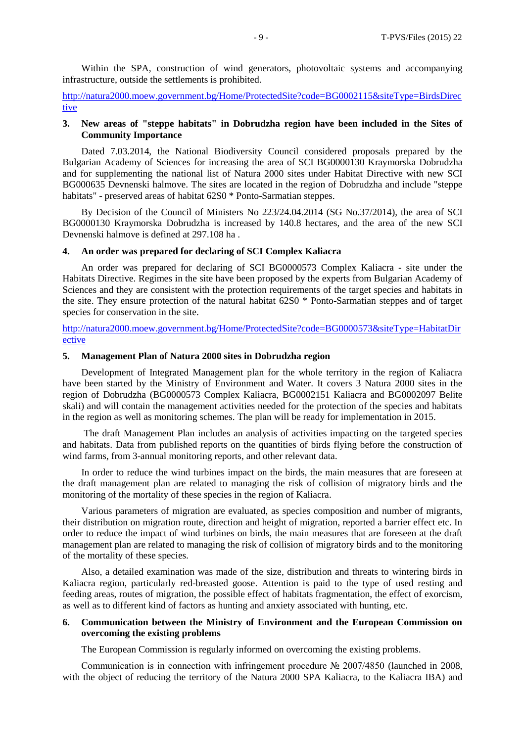Within the SPA, construction of wind generators, photovoltaic systems and accompanying infrastructure, outside the settlements is prohibited.

[http://natura2000.moew.government.bg/Home/ProtectedSite?code=BG0002115&siteType=BirdsDirec](http://natura2000.moew.government.bg/Home/ProtectedSite?code=BG0002115&siteType=BirdsDirective) [tive](http://natura2000.moew.government.bg/Home/ProtectedSite?code=BG0002115&siteType=BirdsDirective)

### **3. New areas of "steppe habitats" in Dobrudzha region have been included in the Sites of Community Importance**

Dated 7.03.2014, the National Biodiversity Council considered proposals prepared by the Bulgarian Academy of Sciences for increasing the area of SCI BG0000130 Kraymorska Dobrudzha and for supplementing the national list of Natura 2000 sites under Habitat Directive with new SCI BG000635 Devnenski halmove. The sites are located in the region of Dobrudzha and include "steppe habitats" - preserved areas of habitat 62S0 \* Ponto-Sarmatian steppes.

By Decision of the Council of Ministers No 223/24.04.2014 (SG No.37/2014), the area of SCI BG0000130 Kraymorska Dobrudzha is increased by 140.8 hectares, and the area of the new SCI Devnenski halmove is defined at 297.108 ha .

#### **4. An order was prepared for declaring of SCI Complex Kaliacra**

An order was prepared for declaring of SCI BG0000573 Complex Kaliacra - site under the Habitats Directive. Regimes in the site have been proposed by the experts from Bulgarian Academy of Sciences and they are consistent with the protection requirements of the target species and habitats in the site. They ensure protection of the natural habitat 62S0 \* Ponto-Sarmatian steppes and of target species for conservation in the site.

[http://natura2000.moew.government.bg/Home/ProtectedSite?code=BG0000573&siteType=HabitatDir](http://natura2000.moew.government.bg/Home/ProtectedSite?code=BG0000573&siteType=HabitatDirective) [ective](http://natura2000.moew.government.bg/Home/ProtectedSite?code=BG0000573&siteType=HabitatDirective)

## **5. Management Plan of Natura 2000 sites in Dobrudzha region**

Development of Integrated Management plan for the whole territory in the region of Kaliacra have been started by the Ministry of Environment and Water. It covers 3 Natura 2000 sites in the region of Dobrudzha (BG0000573 Complex Kaliacra, BG0002151 Kaliacra and BG0002097 Belite skali) and will contain the management activities needed for the protection of the species and habitats in the region as well as monitoring schemes. The plan will be ready for implementation in 2015.

The draft Management Plan includes an analysis of activities impacting on the targeted species and habitats. Data from published reports on the quantities of birds flying before the construction of wind farms, from 3-annual monitoring reports, and other relevant data.

In order to reduce the wind turbines impact on the birds, the main measures that are foreseen at the draft management plan are related to managing the risk of collision of migratory birds and the monitoring of the mortality of these species in the region of Kaliacra.

Various parameters of migration are evaluated, as species composition and number of migrants, their distribution on migration route, direction and height of migration, reported a barrier effect etc. In order to reduce the impact of wind turbines on birds, the main measures that are foreseen at the draft management plan are related to managing the risk of collision of migratory birds and to the monitoring of the mortality of these species.

Also, a detailed examination was made of the size, distribution and threats to wintering birds in Kaliacra region, particularly red-breasted goose. Attention is paid to the type of used resting and feeding areas, routes of migration, the possible effect of habitats fragmentation, the effect of exorcism, as well as to different kind of factors as hunting and anxiety associated with hunting, etc.

## **6. Communication between the Ministry of Environment and the European Commission on overcoming the existing problems**

The European Commission is regularly informed on overcoming the existing problems.

Communication is in connection with infringement procedure № 2007/4850 (launched in 2008, with the object of reducing the territory of the Natura 2000 SPA Kaliacra, to the Kaliacra IBA) and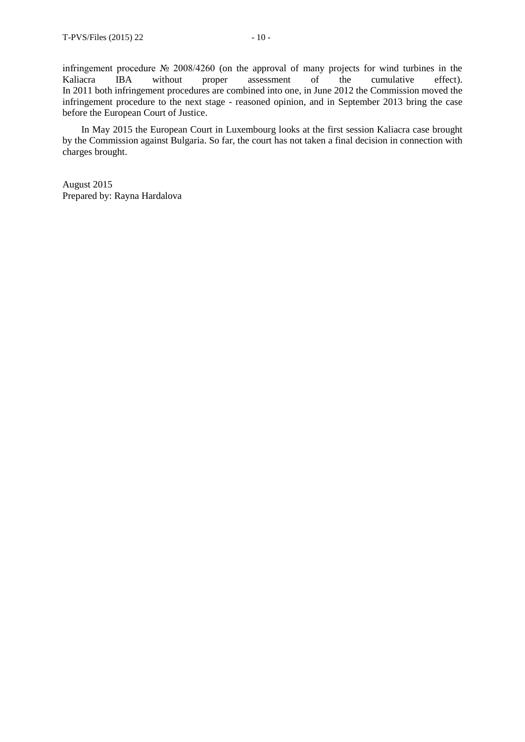infringement procedure № 2008/4260 (on the approval of many projects for wind turbines in the Kaliacra IBA without proper assessment of the cumulative effect). In 2011 both infringement procedures are combined into one, in June 2012 the Commission moved the infringement procedure to the next stage - reasoned opinion, and in September 2013 bring the case before the European Court of Justice.

In May 2015 the European Court in Luxembourg looks at the first session Kaliacra case brought by the Commission against Bulgaria. So far, the court has not taken a final decision in connection with charges brought.

August 2015 Prepared by: Rayna Hardalova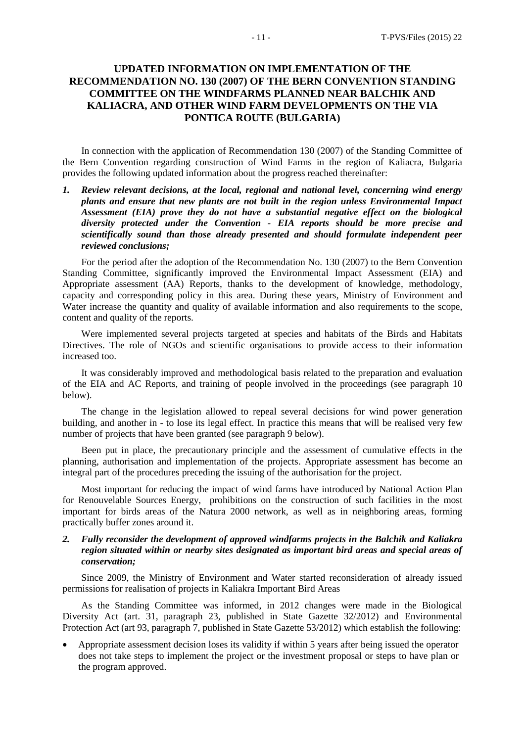## **UPDATED INFORMATION ON IMPLEMENTATION OF THE RECOMMENDATION NO. 130 (2007) OF THE BERN CONVENTION STANDING COMMITTEE ON THE WINDFARMS PLANNED NEAR BALCHIK AND KALIACRA, AND OTHER WIND FARM DEVELOPMENTS ON THE VIA PONTICA ROUTE (BULGARIA)**

In connection with the application of Recommendation 130 (2007) of the Standing Committee of the Bern Convention regarding construction of Wind Farms in the region of Kaliacra, Bulgaria provides the following updated information about the progress reached thereinafter:

*1. Review relevant decisions, at the local, regional and national level, concerning wind energy plants and ensure that new plants are not built in the region unless Environmental Impact Assessment (EIA) prove they do not have a substantial negative effect on the biological diversity protected under the Convention - EIA reports should be more precise and scientifically sound than those already presented and should formulate independent peer reviewed conclusions;*

For the period after the adoption of the Recommendation No. 130 (2007) to the Bern Convention Standing Committee, significantly improved the Environmental Impact Assessment (EIA) and Appropriate assessment (AA) Reports, thanks to the development of knowledge, methodology, capacity and corresponding policy in this area. During these years, Ministry of Environment and Water increase the quantity and quality of available information and also requirements to the scope, content and quality of the reports.

Were implemented several projects targeted at species and habitats of the Birds and Habitats Directives. The role of NGOs and scientific organisations to provide access to their information increased too.

It was considerably improved and methodological basis related to the preparation and evaluation of the EIA and AC Reports, and training of people involved in the proceedings (see paragraph 10 below).

The change in the legislation allowed to repeal several decisions for wind power generation building, and another in - to lose its legal effect. In practice this means that will be realised very few number of projects that have been granted (see paragraph 9 below).

Been put in place, the precautionary principle and the assessment of cumulative effects in the planning, authorisation and implementation of the projects. Appropriate assessment has become an integral part of the procedures preceding the issuing of the authorisation for the project.

Most important for reducing the impact of wind farms have introduced by National Action Plan for Renouvelable Sources Energy, prohibitions on the construction of such facilities in the most important for birds areas of the Natura 2000 network, as well as in neighboring areas, forming practically buffer zones around it.

## *2. Fully reconsider the development of approved windfarms projects in the Balchik and Kaliakra region situated within or nearby sites designated as important bird areas and special areas of conservation;*

Since 2009, the Ministry of Environment and Water started reconsideration of already issued permissions for realisation of projects in Kaliakra Important Bird Areas

As the Standing Committee was informed, in 2012 changes were made in the Biological Diversity Act (art. 31, paragraph 23, published in State Gazette 32/2012) and Environmental Protection Act (art 93, paragraph 7, published in State Gazette 53/2012) which establish the following:

 Appropriate assessment decision loses its validity if within 5 years after being issued the operator does not take steps to implement the project or the investment proposal or steps to have plan or the program approved.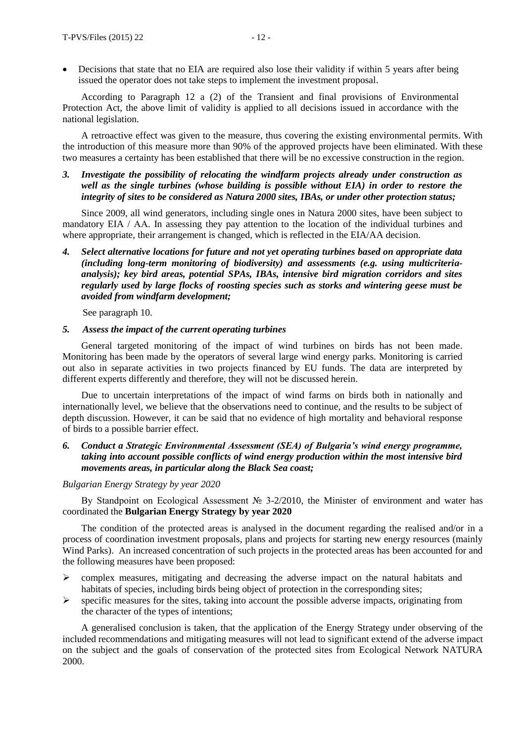Decisions that state that no EIA are required also lose their validity if within 5 years after being issued the operator does not take steps to implement the investment proposal.

According to Paragraph 12 a (2) of the Transient and final provisions of Environmental Protection Act, the above limit of validity is applied to all decisions issued in accordance with the national legislation.

A retroactive effect was given to the measure, thus covering the existing environmental permits. With the introduction of this measure more than 90% of the approved projects have been eliminated. With these two measures a certainty has been established that there will be no excessive construction in the region.

*3. Investigate the possibility of relocating the windfarm projects already under construction as well as the single turbines (whose building is possible without EIA) in order to restore the integrity of sites to be considered as Natura 2000 sites, IBAs, or under other protection status;*

Since 2009, all wind generators, including single ones in Natura 2000 sites, have been subject to mandatory EIA / АА. In assessing they pay attention to the location of the individual turbines and where appropriate, their arrangement is changed, which is reflected in the EIA/AA decision.

*4. Select alternative locations for future and not yet operating turbines based on appropriate data (including long-term monitoring of biodiversity) and assessments (e.g. using multicriteriaanalysis); key bird areas, potential SPAs, IBAs, intensive bird migration corridors and sites regularly used by large flocks of roosting species such as storks and wintering geese must be avoided from windfarm development;*

See paragraph 10.

#### *5. Assess the impact of the current operating turbines*

General targeted monitoring of the impact of wind turbines on birds has not been made. Monitoring has been made by the operators of several large wind energy parks. Monitoring is carried out also in separate activities in two projects financed by EU funds. The data are interpreted by different experts differently and therefore, they will not be discussed herein.

Due to uncertain interpretations of the impact of wind farms on birds both in nationally and internationally level, we believe that the observations need to continue, and the results to be subject of depth discussion. However, it can be said that no evidence of high mortality and behavioral response of birds to a possible barrier effect.

## *6. Conduct a Strategic Environmental Assessment (SEA) of Bulgaria's wind energy programme, taking into account possible conflicts of wind energy production within the most intensive bird movements areas, in particular along the Black Sea coast;*

#### *Bulgarian Energy Strategy by year 2020*

By Standpoint on Ecological Assessment № 3-2/2010, the Minister of environment and water has coordinated the **Bulgarian Energy Strategy by year 2020**

The condition of the protected areas is analysed in the document regarding the realised and/or in a process of coordination investment proposals, plans and projects for starting new energy resources (mainly Wind Parks). An increased concentration of such projects in the protected areas has been accounted for and the following measures have been proposed:

- $\triangleright$  complex measures, mitigating and decreasing the adverse impact on the natural habitats and habitats of species, including birds being object of protection in the corresponding sites;
- $\triangleright$  specific measures for the sites, taking into account the possible adverse impacts, originating from the character of the types of intentions;

A generalised conclusion is taken, that the application of the Energy Strategy under observing of the included recommendations and mitigating measures will not lead to significant extend of the adverse impact on the subject and the goals of conservation of the protected sites from Ecological Network NATURA 2000.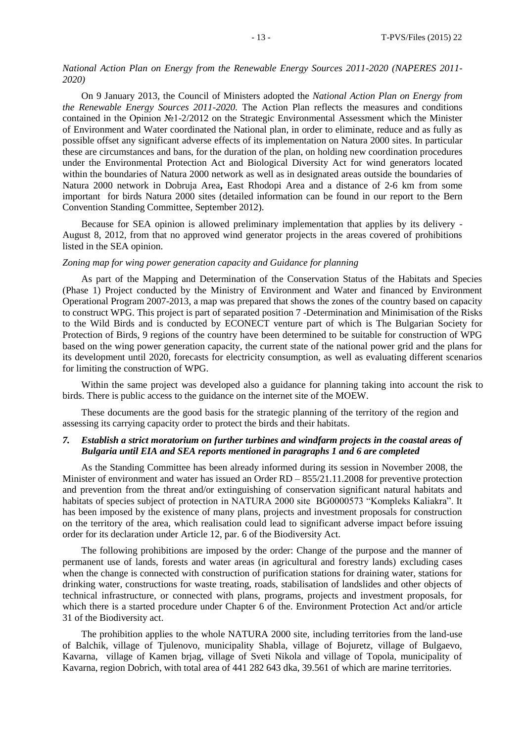## *National Action Plan on Energy from the Renewable Energy Sources 2011-2020 (NAPERES 2011- 2020)*

On 9 January 2013, the Council of Ministers adopted the *National Action Plan on Energy from the Renewable Energy Sources 2011-2020.* The Action Plan reflects the measures and conditions contained in the Opinion №1-2/2012 on the Strategic Environmental Assessment which the Minister of Environment and Water coordinated the National plan, in order to eliminate, reduce and as fully as possible offset any significant adverse effects of its implementation on Natura 2000 sites. In particular these are circumstances and bans, for the duration of the plan, on holding new coordination procedures under the Environmental Protection Act and Biological Diversity Act for wind generators located within the boundaries of Natura 2000 network as well as in designated areas outside the boundaries of Natura 2000 network in Dobruja Area**,** East Rhodopi Area and а distance of 2-6 km from some important for birds Natura 2000 sites (detailed information can be found in our report to the Bern Convention Standing Committee, September 2012).

Because for SEA opinion is allowed preliminary implementation that applies by its delivery - August 8, 2012, from that no approved wind generator projects in the areas covered of prohibitions listed in the SEA opinion.

#### *Zoning map for wing power generation capacity and Guidance for planning*

As part of the Mapping and Determination of the Conservation Status of the Habitats and Species (Phase 1) Project conducted by the Ministry of Environment and Water and financed by Environment Operational Program 2007-2013, a map was prepared that shows the zones of the country based on capacity to construct WPG. This project is part of separated position 7 -Determination and Minimisation of the Risks to the Wild Birds and is conducted by ECONECT venture part of which is The Bulgarian Society for Protection of Birds, 9 regions of the country have been determined to be suitable for construction of WPG based on the wing power generation capacity, the current state of the national power grid and the plans for its development until 2020, forecasts for electricity consumption, as well as evaluating different scenarios for limiting the construction of WPG.

Within the same project was developed also a guidance for planning taking into account the risk to birds. There is public access to the guidance on the internet site of the MОEW.

These documents are the good basis for the strategic planning of the territory of the region and assessing its carrying capacity order to protect the birds and their habitats.

## *7. Establish a strict moratorium on further turbines and windfarm projects in the coastal areas of Bulgaria until EIA and SEA reports mentioned in paragraphs 1 and 6 are completed*

As the Standing Committee has been already informed during its session in November 2008, the Minister of environment and water has issued an Order RD – 855/21.11.2008 for preventive protection and prevention from the threat and/or extinguishing of conservation significant natural habitats and habitats of species subject of protection in NATURA 2000 site BG0000573 "Kompleks Kaliakra". It has been imposed by the existence of many plans, projects and investment proposals for construction on the territory of the area, which realisation could lead to significant adverse impact before issuing order for its declaration under Article 12, par. 6 of the Biodiversity Act.

The following prohibitions are imposed by the order: Change of the purpose and the manner of permanent use of lands, forests and water areas (in agricultural and forestry lands) excluding cases when the change is connected with construction of purification stations for draining water, stations for drinking water, constructions for waste treating, roads, stabilisation of landslides and other objects of technical infrastructure, or connected with plans, programs, projects and investment proposals, for which there is a started procedure under Chapter 6 of the. Environment Protection Act and/or article 31 of the Biodiversity act.

The prohibition applies to the whole NATURA 2000 site, including territories from the land-use of Balchik, village of Tjulenovo, municipality Shabla, village of Bojuretz, village of Bulgaevo, Kavarna, village of Kamen brjag, village of Sveti Nikola and village of Topola, municipality of Kavarna, region Dobrich, with total area of 441 282 643 dka, 39.561 of which are marine territories.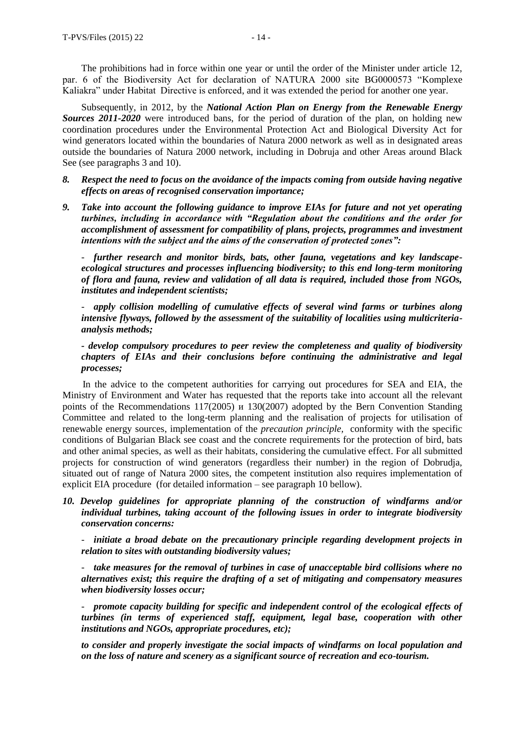The prohibitions had in force within one year or until the order of the Minister under article 12, par. 6 of the Biodiversity Act for declaration of NATURA 2000 site BG0000573 "Komplexe Kaliakra" under Habitat Directive is enforced, and it was extended the period for another one year.

Subsequently, in 2012, by the *National Action Plan on Energy from the Renewable Energy Sources 2011-2020* were introduced bans, for the period of duration of the plan, on holding new coordination procedures under the Environmental Protection Act and Biological Diversity Act for wind generators located within the boundaries of Natura 2000 network as well as in designated areas outside the boundaries of Natura 2000 network, including in Dobruja and other Areas around Black See (see paragraphs 3 and 10).

- *8. Respect the need to focus on the avoidance of the impacts coming from outside having negative effects on areas of recognised conservation importance;*
- *9. Take into account the following guidance to improve EIAs for future and not yet operating turbines, including in accordance with "Regulation about the conditions and the order for accomplishment of assessment for compatibility of plans, projects, programmes and investment intentions with the subject and the aims of the conservation of protected zones":*

- *further research and monitor birds, bats, other fauna, vegetations and key landscapeecological structures and processes influencing biodiversity; to this end long-term monitoring of flora and fauna, review and validation of all data is required, included those from NGOs, institutes and independent scientists;* 

- *apply collision modelling of cumulative effects of several wind farms or turbines along intensive flyways, followed by the assessment of the suitability of localities using multicriteriaanalysis methods;*

*- develop compulsory procedures to peer review the completeness and quality of biodiversity chapters of EIAs and their conclusions before continuing the administrative and legal processes;*

In the advice to the competent authorities for carrying out procedures for SEA and EIA, the Ministry of Environment and Water has requested that the reports take into account all the relevant points of the Recommendations 117(2005) и 130(2007) adopted by the Bern Convention Standing Committee and related to the long-term planning and the realisation of projects for utilisation of renewable energy sources, implementation of the *precaution principle,* conformity with the specific conditions of Bulgarian Black see coast and the concrete requirements for the protection of bird, bats and other animal species, as well as their habitats, considering the cumulative effect. For all submitted projects for construction of wind generators (regardless their number) in the region of Dobrudja, situated out of range of Natura 2000 sites, the competent institution also requires implementation of explicit EIA procedure (for detailed information – see paragraph 10 bellow).

*10. Develop guidelines for appropriate planning of the construction of windfarms and/or individual turbines, taking account of the following issues in order to integrate biodiversity conservation concerns:*

- *initiate a broad debate on the precautionary principle regarding development projects in relation to sites with outstanding biodiversity values;*

- *take measures for the removal of turbines in case of unacceptable bird collisions where no alternatives exist; this require the drafting of a set of mitigating and compensatory measures when biodiversity losses occur;* 

- *promote capacity building for specific and independent control of the ecological effects of turbines (in terms of experienced staff, equipment, legal base, cooperation with other institutions and NGOs, appropriate procedures, etc);*

*to consider and properly investigate the social impacts of windfarms on local population and on the loss of nature and scenery as a significant source of recreation and eco-tourism.*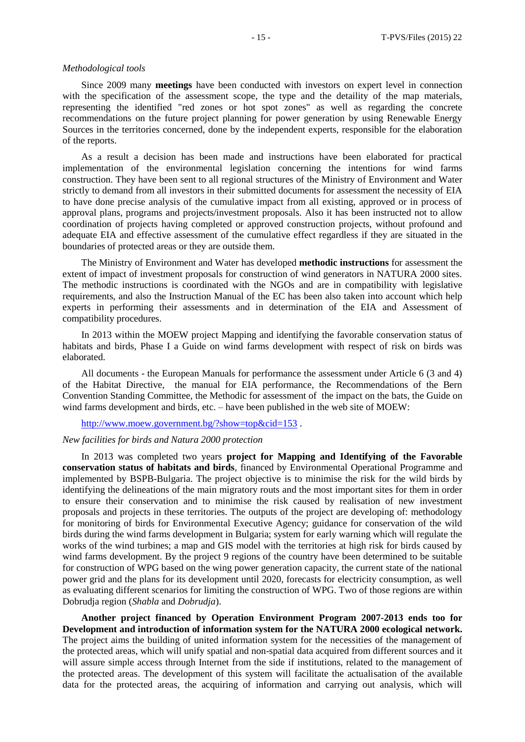#### *Methodological tools*

Since 2009 many **meetings** have been conducted with investors on expert level in connection with the specification of the assessment scope, the type and the detaility of the map materials, representing the identified "red zones or hot spot zones" as well as regarding the concrete recommendations on the future project planning for power generation by using Renewable Energy Sources in the territories concerned, done by the independent experts, responsible for the elaboration of the reports.

As a result a decision has been made and instructions have been elaborated for practical implementation of the environmental legislation concerning the intentions for wind farms construction. They have been sent to all regional structures of the Ministry of Environment and Water strictly to demand from all investors in their submitted documents for assessment the necessity of EIA to have done precise analysis of the cumulative impact from all existing, approved or in process of approval plans, programs and projects/investment proposals. Also it has been instructed not to allow coordination of projects having completed or approved construction projects, without profound and adequate EIA and effective assessment of the cumulative effect regardless if they are situated in the boundaries of protected areas or they are outside them.

The Ministry of Environment and Water has developed **methodic instructions** for assessment the extent of impact of investment proposals for construction of wind generators in NATURA 2000 sites. The methodic instructions is coordinated with the NGOs and are in compatibility with legislative requirements, and also the Instruction Manual of the EC has been also taken into account which help experts in performing their assessments and in determination of the EIA and Assessment of compatibility procedures.

In 2013 within the MOEW project Mapping and identifying the favorable conservation status of habitats and birds, Phase I a Guide on wind farms development with respect of risk on birds was elaborated.

All documents - the European Manuals for performance the assessment under Article 6 (3 and 4) of the Habitat Directive, the manual for EIA performance, the Recommendations of the Bern Convention Standing Committee, the Methodic for assessment of the impact on the bats, the Guide on wind farms development and birds, etc. – have been published in the web site of MOEW:

<http://www.moew.government.bg/?show=top&cid=153>.

## *New facilities for birds and Natura 2000 protection*

In 2013 was completed two years **project for Mapping and Identifying of the Favorable conservation status of habitats and birds**, financed by Environmental Operational Programme and implemented by BSPB-Bulgaria. The project objective is to minimise the risk for the wild birds by identifying the delineations of the main migratory routs and the most important sites for them in order to ensure their conservation and to minimise the risk caused by realisation of new investment proposals and projects in these territories. The outputs of the project are developing of: methodology for monitoring of birds for Environmental Executive Agency; guidance for conservation of the wild birds during the wind farms development in Bulgaria; system for early warning which will regulate the works of the wind turbines; a map and GIS model with the territories at high risk for birds caused by wind farms development. By the project 9 regions of the country have been determined to be suitable for construction of WPG based on the wing power generation capacity, the current state of the national power grid and the plans for its development until 2020, forecasts for electricity consumption, as well as evaluating different scenarios for limiting the construction of WPG. Two of those regions are within Dobrudja region (*Shabla* and *Dobrudja*).

**Another project financed by Operation Environment Program 2007-2013 ends too for Development and introduction of information system for the NATURA 2000 ecological network.**  The project aims the building of united information system for the necessities of the management of the protected areas, which will unify spatial and non-spatial data acquired from different sources and it will assure simple access through Internet from the side if institutions, related to the management of the protected areas. The development of this system will facilitate the actualisation of the available data for the protected areas, the acquiring of information and carrying out analysis, which will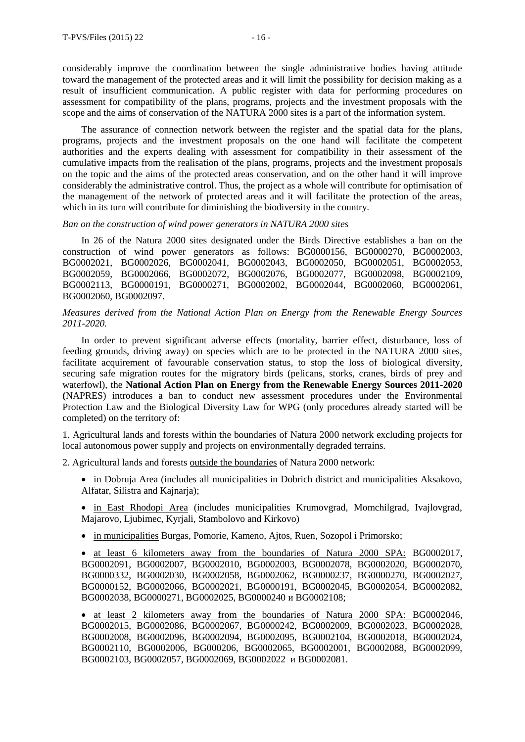considerably improve the coordination between the single administrative bodies having attitude toward the management of the protected areas and it will limit the possibility for decision making as a result of insufficient communication. A public register with data for performing procedures on assessment for compatibility of the plans, programs, projects and the investment proposals with the scope and the aims of conservation of the NATURA 2000 sites is a part of the information system.

The assurance of connection network between the register and the spatial data for the plans, programs, projects and the investment proposals on the one hand will facilitate the competent authorities and the experts dealing with assessment for compatibility in their assessment of the cumulative impacts from the realisation of the plans, programs, projects and the investment proposals on the topic and the aims of the protected areas conservation, and on the other hand it will improve considerably the administrative control. Thus, the project as a whole will contribute for optimisation of the management of the network of protected areas and it will facilitate the protection of the areas, which in its turn will contribute for diminishing the biodiversity in the country.

#### *Ban on the construction of wind power generators in NATURA 2000 sites*

In 26 of the Natura 2000 sites designated under the Birds Directive establishes a ban on the construction of wind power generators as follows: BG0000156, BG0000270, BG0002003, BG0002021, BG0002026, BG0002041, BG0002043, BG0002050, BG0002051, BG0002053, BG0002059, BG0002066, BG0002072, BG0002076, BG0002077, BG0002098, BG0002109, BG0002113, BG0000191, BG0000271, BG0002002, BG0002044, BG0002060, BG0002061, BG0002060, BG0002097.

## *Мeasures derived from the National Action Plan on Energy from the Renewable Energy Sources 2011-2020.*

In order to prevent significant adverse effects (mortality, barrier effect, disturbance, loss of feeding grounds, driving away) on species which are to be protected in the NATURA 2000 sites, facilitate acquirement of favourable conservation status, to stop the loss of biological diversity, securing safe migration routes for the migratory birds (pelicans, storks, cranes, birds of prey and waterfowl), the **National Action Plan on Energy from the Renewable Energy Sources 2011-2020 (**NAPRES) introduces a ban to conduct new assessment procedures under the Environmental Protection Law and the Biological Diversity Law for WPG (only procedures already started will be completed) on the territory of:

1. Agricultural lands and forests within the boundaries of Natura 2000 network excluding projects for local autonomous power supply and projects on environmentally degraded terrains.

2. Agricultural lands and forests outside the boundaries of Natura 2000 network:

- in Dobruja Area (includes all municipalities in Dobrich district and municipalities Aksakovo, Alfatar, Silistra and Kainaria);
- in East Rhodopi Area (includes municipalities Krumovgrad, Momchilgrad, Ivajlovgrad, Majarovo, Ljubimec, Kyrjali, Stambolovo and Kirkovo)
- in municipalities Burgas, Pomorie, Kameno, Ajtos, Ruen, Sozopol i Primorsko;

 at least 6 kilometers away from the boundaries of Natura 2000 SPA: BG0002017, BG0002091, BG0002007, BG0002010, BG0002003, BG0002078, BG0002020, BG0002070, BG0000332, BG0002030, BG0002058, BG0002062, BG0000237, BG0000270, BG0002027, BG0000152, BG0002066, BG0002021, BG0000191, BG0002045, BG0002054, BG0002082, BG0002038, BG0000271, BG0002025, BG0000240 и BG0002108;

 at least 2 kilometers away from the boundaries of Natura 2000 SPA: BG0002046, BG0002015, BG0002086, BG0002067, BG0000242, BG0002009, BG0002023, BG0002028, BG0002008, BG0002096, BG0002094, BG0002095, BG0002104, BG0002018, BG0002024, BG0002110, BG0002006, BG000206, BG0002065, BG0002001, BG0002088, BG0002099, BG0002103, BG0002057, BG0002069, BG0002022 и BG0002081.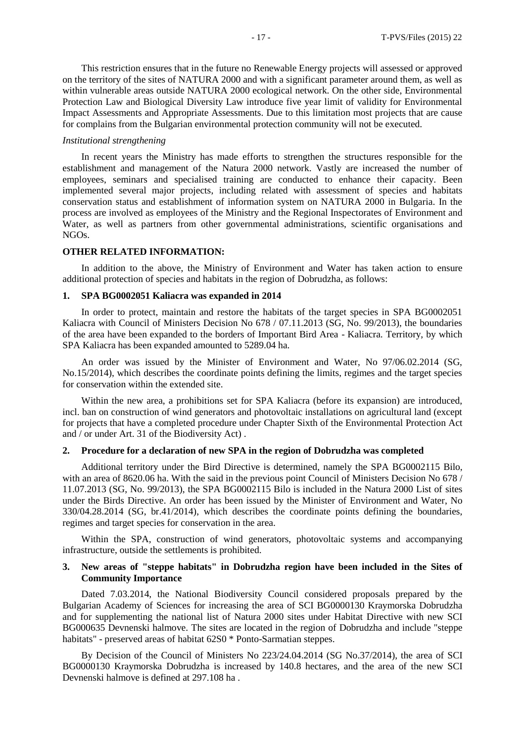This restriction ensures that in the future no Renewable Energy projects will assessed or approved on the territory of the sites of NATURA 2000 and with a significant parameter around them, as well as within vulnerable areas outside NATURA 2000 ecological network. On the other side, Environmental Protection Law and Biological Diversity Law introduce five year limit of validity for Environmental Impact Assessments and Appropriate Assessments. Due to this limitation most projects that are cause for complains from the Bulgarian environmental protection community will not be executed.

#### *Institutional strengthening*

In recent years the Ministry has made efforts to strengthen the structures responsible for the establishment and management of the Natura 2000 network. Vastly are increased the number of employees, seminars and specialised training are conducted to enhance their capacity. Been implemented several major projects, including related with assessment of species and habitats conservation status and establishment of information system on NATURA 2000 in Bulgaria. In the process are involved as employees of the Ministry and the Regional Inspectorates of Environment and Water, as well as partners from other governmental administrations, scientific organisations and NGOs.

#### **OTHER RELATED INFORMATION:**

In addition to the above, the Ministry of Environment and Water has taken action to ensure additional protection of species and habitats in the region of Dobrudzha, as follows:

#### **1. SPA BG0002051 Kaliacra was expanded in 2014**

In order to protect, maintain and restore the habitats of the target species in SPA BG0002051 Kaliacra with Council of Ministers Decision No 678 / 07.11.2013 (SG, No. 99/2013), the boundaries of the area have been expanded to the borders of Important Bird Area - Kaliacra. Territory, by which SPA Kaliacra has been expanded amounted to 5289.04 ha.

An order was issued by the Minister of Environment and Water, No 97/06.02.2014 (SG, No.15/2014), which describes the coordinate points defining the limits, regimes and the target species for conservation within the extended site.

Within the new area, a prohibitions set for SPA Kaliacra (before its expansion) are introduced, incl. ban on construction of wind generators and photovoltaic installations on agricultural land (except for projects that have a completed procedure under Chapter Sixth of the Environmental Protection Act and / or under Art. 31 of the Biodiversity Act) .

## **2. Procedure for a declaration of new SPA in the region of Dobrudzha was completed**

Additional territory under the Bird Directive is determined, namely the SPA BG0002115 Bilo, with an area of 8620.06 ha. With the said in the previous point Council of Ministers Decision No 678 / 11.07.2013 (SG, No. 99/2013), the SPA BG0002115 Bilo is included in the Natura 2000 List of sites under the Birds Directive. An order has been issued by the Minister of Environment and Water, No 330/04.28.2014 (SG, br.41/2014), which describes the coordinate points defining the boundaries, regimes and target species for conservation in the area.

Within the SPA, construction of wind generators, photovoltaic systems and accompanying infrastructure, outside the settlements is prohibited.

## **3. New areas of "steppe habitats" in Dobrudzha region have been included in the Sites of Community Importance**

Dated 7.03.2014, the National Biodiversity Council considered proposals prepared by the Bulgarian Academy of Sciences for increasing the area of SCI BG0000130 Kraymorska Dobrudzha and for supplementing the national list of Natura 2000 sites under Habitat Directive with new SCI BG000635 Devnenski halmove. The sites are located in the region of Dobrudzha and include "steppe habitats" - preserved areas of habitat 62S0 \* Ponto-Sarmatian steppes.

By Decision of the Council of Ministers No 223/24.04.2014 (SG No.37/2014), the area of SCI BG0000130 Kraymorska Dobrudzha is increased by 140.8 hectares, and the area of the new SCI Devnenski halmove is defined at 297.108 ha .